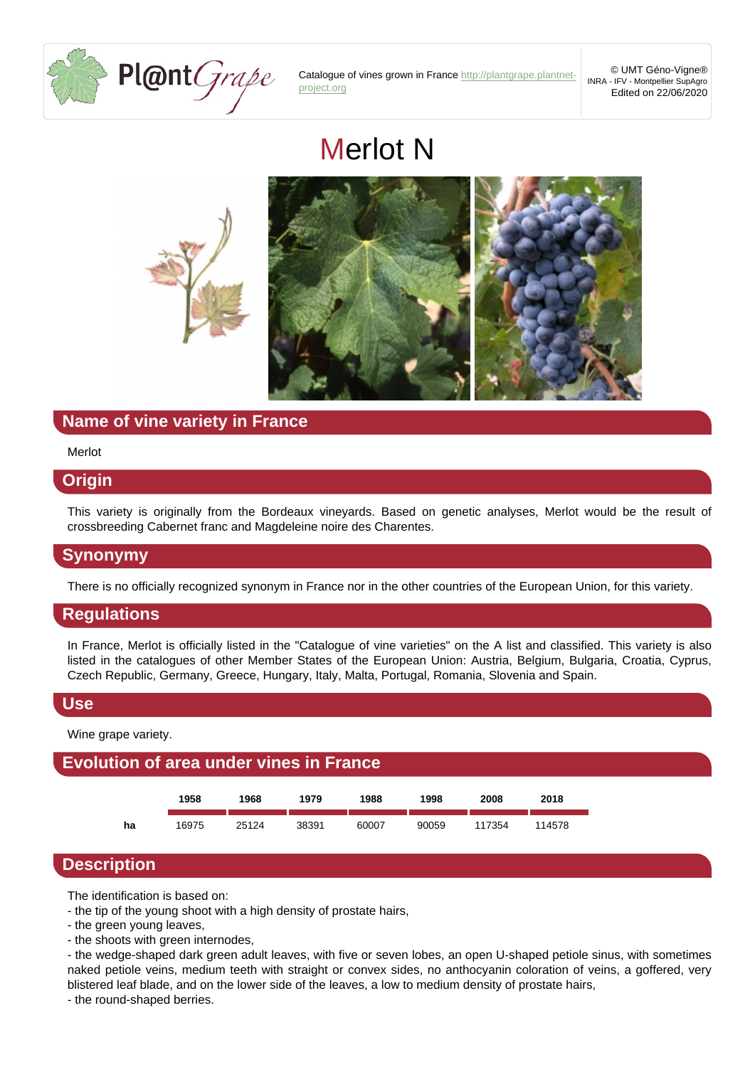

Catalogue of vines grown in France [http://plantgrape.plantnet](http://plantgrape.plantnet-project.org)[project.org](http://plantgrape.plantnet-project.org)

© UMT Géno-Vigne® INRA - IFV - Montpellier SupAgro Edited on 22/06/2020

# Merlot N



## **Name of vine variety in France**

#### Merlot

### **Origin**

This variety is originally from the Bordeaux vineyards. Based on genetic analyses, Merlot would be the result of crossbreeding Cabernet franc and Magdeleine noire des Charentes.

## **Synonymy**

There is no officially recognized synonym in France nor in the other countries of the European Union, for this variety.

## **Regulations**

In France, Merlot is officially listed in the "Catalogue of vine varieties" on the A list and classified. This variety is also listed in the catalogues of other Member States of the European Union: Austria, Belgium, Bulgaria, Croatia, Cyprus, Czech Republic, Germany, Greece, Hungary, Italy, Malta, Portugal, Romania, Slovenia and Spain.

#### **Use**

Wine grape variety.

## **Evolution of area under vines in France**



## **Description**

The identification is based on:

- the tip of the young shoot with a high density of prostate hairs,

- the green young leaves,

- the shoots with green internodes,

- the wedge-shaped dark green adult leaves, with five or seven lobes, an open U-shaped petiole sinus, with sometimes naked petiole veins, medium teeth with straight or convex sides, no anthocyanin coloration of veins, a goffered, very blistered leaf blade, and on the lower side of the leaves, a low to medium density of prostate hairs,

- the round-shaped berries.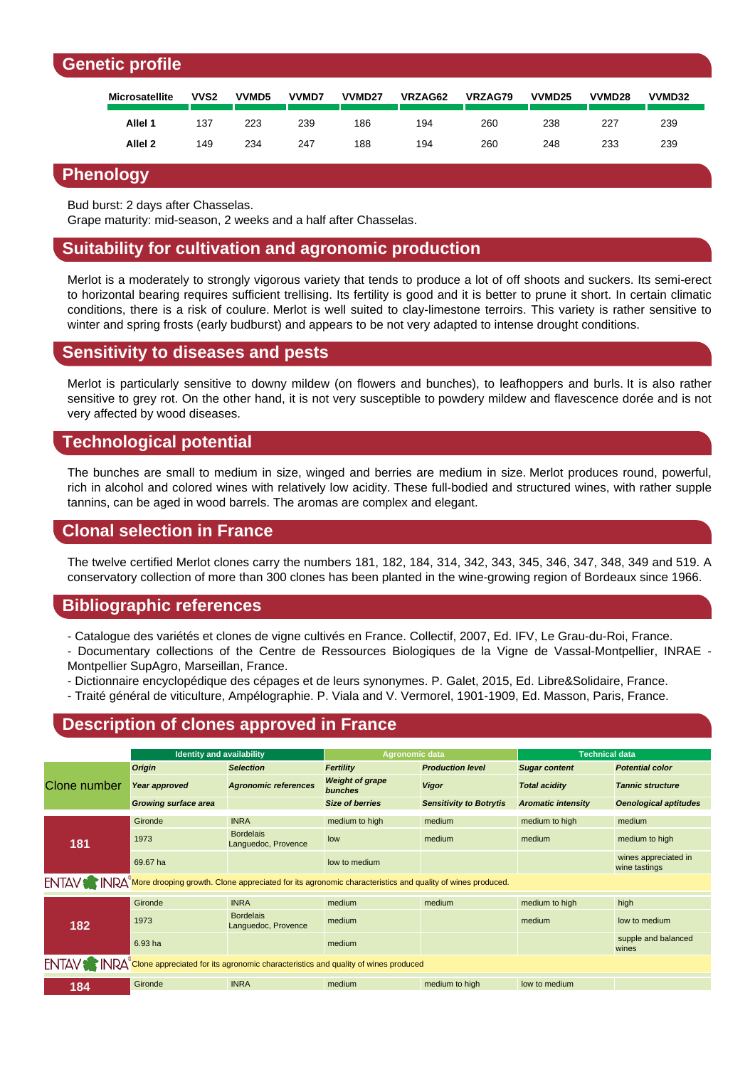## **Genetic profile**

| <b>Microsatellite</b> | VVS2 | VVMD5 | <b>VVMD7</b> | <b>VVMD27</b> | VRZAG62 | VRZAG79 | VVMD <sub>25</sub> | VVMD <sub>28</sub> | <b>VVMD32</b> |
|-----------------------|------|-------|--------------|---------------|---------|---------|--------------------|--------------------|---------------|
| Allel 1               | 137  | 223   | 239          | 186           | 194     | 260     | 238                | 227                | 239           |
| Allel <sub>2</sub>    | 149  | 234   | 247          | 188           | 194     | 260     | 248                | 233                | 239           |

### **Phenology**

Bud burst: 2 days after Chasselas.

Grape maturity: mid-season, 2 weeks and a half after Chasselas.

## **Suitability for cultivation and agronomic production**

Merlot is a moderately to strongly vigorous variety that tends to produce a lot of off shoots and suckers. Its semi-erect to horizontal bearing requires sufficient trellising. Its fertility is good and it is better to prune it short. In certain climatic conditions, there is a risk of coulure. Merlot is well suited to clay-limestone terroirs. This variety is rather sensitive to winter and spring frosts (early budburst) and appears to be not very adapted to intense drought conditions.

### **Sensitivity to diseases and pests**

Merlot is particularly sensitive to downy mildew (on flowers and bunches), to leafhoppers and burls. It is also rather sensitive to grey rot. On the other hand, it is not very susceptible to powdery mildew and flavescence dorée and is not very affected by wood diseases.

## **Technological potential**

The bunches are small to medium in size, winged and berries are medium in size. Merlot produces round, powerful, rich in alcohol and colored wines with relatively low acidity. These full-bodied and structured wines, with rather supple tannins, can be aged in wood barrels. The aromas are complex and elegant.

## **Clonal selection in France**

The twelve certified Merlot clones carry the numbers 181, 182, 184, 314, 342, 343, 345, 346, 347, 348, 349 and 519. A conservatory collection of more than 300 clones has been planted in the wine-growing region of Bordeaux since 1966.

## **Bibliographic references**

- Catalogue des variétés et clones de vigne cultivés en France. Collectif, 2007, Ed. IFV, Le Grau-du-Roi, France.
- Documentary collections of the Centre de Ressources Biologiques de la Vigne de Vassal-Montpellier, INRAE Montpellier SupAgro, Marseillan, France.
- Dictionnaire encyclopédique des cépages et de leurs synonymes. P. Galet, 2015, Ed. Libre&Solidaire, France.
- Traité général de viticulture, Ampélographie. P. Viala and V. Vermorel, 1901-1909, Ed. Masson, Paris, France.

## **Description of clones approved in France**

|                                                                                                                        | <b>Identity and availability</b> |                                         | Agronomic data                    |                                | <b>Technical data</b>     |                                       |  |  |  |
|------------------------------------------------------------------------------------------------------------------------|----------------------------------|-----------------------------------------|-----------------------------------|--------------------------------|---------------------------|---------------------------------------|--|--|--|
| Clone number                                                                                                           | Origin                           | <b>Selection</b>                        | Fertility                         | <b>Production level</b>        | <b>Sugar content</b>      | <b>Potential color</b>                |  |  |  |
|                                                                                                                        | Year approved                    | <b>Agronomic references</b>             | <b>Weight of grape</b><br>bunches | <b>Vigor</b>                   | <b>Total acidity</b>      | <b>Tannic structure</b>               |  |  |  |
|                                                                                                                        | <b>Growing surface area</b>      |                                         | <b>Size of berries</b>            | <b>Sensitivity to Botrytis</b> | <b>Aromatic intensity</b> | <b>Oenological aptitudes</b>          |  |  |  |
| 181                                                                                                                    | Gironde                          | <b>INRA</b>                             | medium to high                    | medium                         | medium to high            | medium                                |  |  |  |
|                                                                                                                        | 1973                             | <b>Bordelais</b><br>Languedoc, Provence | low                               | medium                         | medium                    | medium to high                        |  |  |  |
|                                                                                                                        | 69.67 ha                         |                                         | low to medium                     |                                |                           | wines appreciated in<br>wine tastings |  |  |  |
| ENTAV Nore drooping growth. Clone appreciated for its agronomic characteristics and quality of wines produced.         |                                  |                                         |                                   |                                |                           |                                       |  |  |  |
| 182                                                                                                                    | Gironde                          | <b>INRA</b>                             | medium                            | medium                         | medium to high            | high                                  |  |  |  |
|                                                                                                                        | 1973                             | <b>Bordelais</b><br>Languedoc, Provence | medium                            |                                | medium                    | low to medium                         |  |  |  |
|                                                                                                                        | 6.93 ha                          |                                         | medium                            |                                |                           | supple and balanced<br>wines          |  |  |  |
| ENTAV <sup>S</sup> INRA <sup>®</sup> Clone appreciated for its agronomic characteristics and quality of wines produced |                                  |                                         |                                   |                                |                           |                                       |  |  |  |
| 184                                                                                                                    | Gironde                          | <b>INRA</b>                             | medium                            | medium to high                 | low to medium             |                                       |  |  |  |